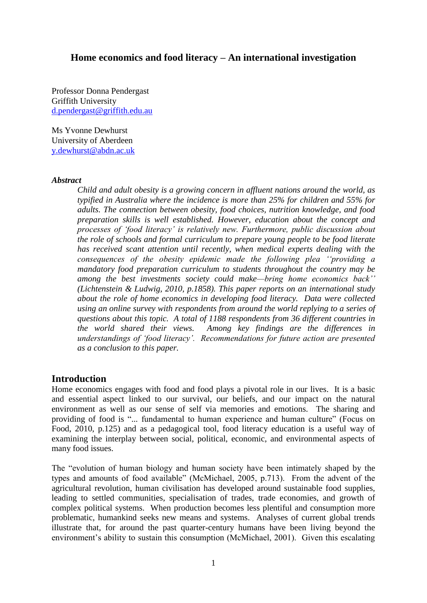## **Home economics and food literacy – An international investigation**

Professor Donna Pendergast Griffith University [d.pendergast@griffith.edu.au](mailto:d.pendergast@griffith.edu.au)

Ms Yvonne Dewhurst University of Aberdeen [y.dewhurst@abdn.ac.uk](mailto:y.dewhurst@abdn.ac.uk)

#### *Abstract*

*Child and adult obesity is a growing concern in affluent nations around the world, as typified in Australia where the incidence is more than 25% for children and 55% for adults. The connection between obesity, food choices, nutrition knowledge, and food preparation skills is well established. However, education about the concept and processes of 'food literacy' is relatively new. Furthermore, public discussion about the role of schools and formal curriculum to prepare young people to be food literate has received scant attention until recently, when medical experts dealing with the consequences of the obesity epidemic made the following plea ''providing a mandatory food preparation curriculum to students throughout the country may be among the best investments society could make—bring home economics back'' (Lichtenstein & Ludwig, 2010, p.1858). This paper reports on an international study about the role of home economics in developing food literacy. Data were collected using an online survey with respondents from around the world replying to a series of questions about this topic. A total of 1188 respondents from 36 different countries in the world shared their views. Among key findings are the differences in understandings of 'food literacy'. Recommendations for future action are presented as a conclusion to this paper.*

## **Introduction**

Home economics engages with food and food plays a pivotal role in our lives. It is a basic and essential aspect linked to our survival, our beliefs, and our impact on the natural environment as well as our sense of self via memories and emotions. The sharing and providing of food is "... fundamental to human experience and human culture" (Focus on Food, 2010, p.125) and as a pedagogical tool, food literacy education is a useful way of examining the interplay between social, political, economic, and environmental aspects of many food issues.

The "evolution of human biology and human society have been intimately shaped by the types and amounts of food available" (McMichael, 2005, p.713). From the advent of the agricultural revolution, human civilisation has developed around sustainable food supplies, leading to settled communities, specialisation of trades, trade economies, and growth of complex political systems. When production becomes less plentiful and consumption more problematic, humankind seeks new means and systems. Analyses of current global trends illustrate that, for around the past quarter-century humans have been living beyond the environment's ability to sustain this consumption (McMichael, 2001). Given this escalating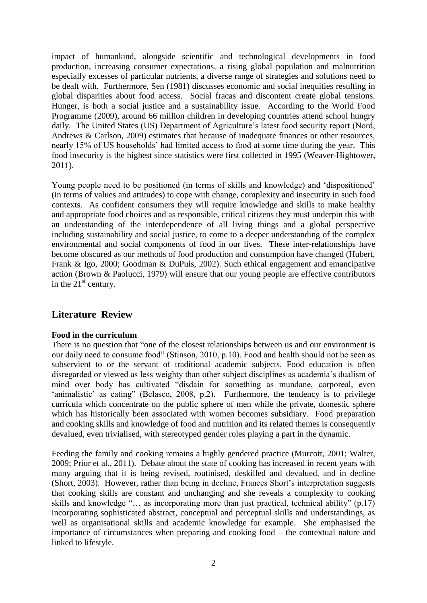impact of humankind, alongside scientific and technological developments in food production, increasing consumer expectations, a rising global population and malnutrition especially excesses of particular nutrients, a diverse range of strategies and solutions need to be dealt with. Furthermore, Sen (1981) discusses economic and social inequities resulting in global disparities about food access. Social fracas and discontent create global tensions. Hunger, is both a social justice and a sustainability issue. According to the World Food Programme (2009), around 66 million children in developing countries attend school hungry daily. The United States (US) Department of Agriculture's latest food security report (Nord, Andrews & Carlson, 2009) estimates that because of inadequate finances or other resources, nearly 15% of US households' had limited access to food at some time during the year. This food insecurity is the highest since statistics were first collected in 1995 (Weaver-Hightower, 2011).

Young people need to be positioned (in terms of skills and knowledge) and 'dispositioned' (in terms of values and attitudes) to cope with change, complexity and insecurity in such food contexts. As confident consumers they will require knowledge and skills to make healthy and appropriate food choices and as responsible, critical citizens they must underpin this with an understanding of the interdependence of all living things and a global perspective including sustainability and social justice, to come to a deeper understanding of the complex environmental and social components of food in our lives. These inter-relationships have become obscured as our methods of food production and consumption have changed (Hubert, Frank & Igo, 2000; Goodman & DuPuis, 2002). Such ethical engagement and emancipative action (Brown & Paolucci, 1979) will ensure that our young people are effective contributors in the  $21<sup>st</sup>$  century.

# **Literature Review**

#### **Food in the curriculum**

There is no question that "one of the closest relationships between us and our environment is our daily need to consume food" (Stinson, 2010, p.10). Food and health should not be seen as subservient to or the servant of traditional academic subjects. Food education is often disregarded or viewed as less weighty than other subject disciplines as academia's dualism of mind over body has cultivated "disdain for something as mundane, corporeal, even 'animalistic' as eating" (Belasco, 2008, p.2). Furthermore, the tendency is to privilege curricula which concentrate on the public sphere of men while the private, domestic sphere which has historically been associated with women becomes subsidiary. Food preparation and cooking skills and knowledge of food and nutrition and its related themes is consequently devalued, even trivialised, with stereotyped gender roles playing a part in the dynamic.

Feeding the family and cooking remains a highly gendered practice (Murcott, 2001; Walter, 2009; Prior et al., 2011). Debate about the state of cooking has increased in recent years with many arguing that it is being revised, routinised, deskilled and devalued, and in decline (Short, 2003). However, rather than being in decline, Frances Short's interpretation suggests that cooking skills are constant and unchanging and she reveals a complexity to cooking skills and knowledge "… as incorporating more than just practical, technical ability" (p.17) incorporating sophisticated abstract, conceptual and perceptual skills and understandings, as well as organisational skills and academic knowledge for example. She emphasised the importance of circumstances when preparing and cooking food – the contextual nature and linked to lifestyle.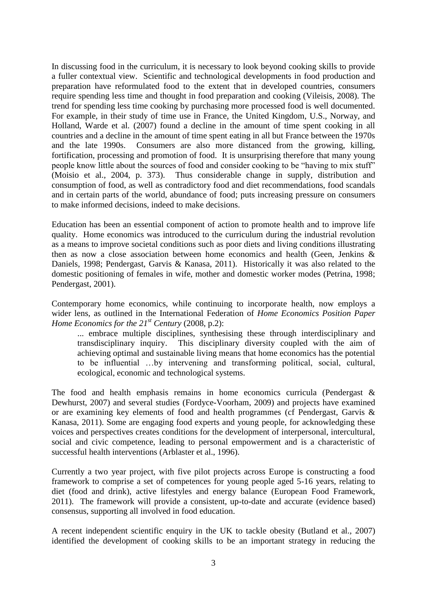In discussing food in the curriculum, it is necessary to look beyond cooking skills to provide a fuller contextual view. Scientific and technological developments in food production and preparation have reformulated food to the extent that in developed countries, consumers require spending less time and thought in food preparation and cooking (Vileisis, 2008). The trend for spending less time cooking by purchasing more processed food is well documented. For example, in their study of time use in France, the United Kingdom, U.S., Norway, and Holland, Warde et al. (2007) found a decline in the amount of time spent cooking in all countries and a decline in the amount of time spent eating in all but France between the 1970s and the late 1990s. Consumers are also more distanced from the growing, killing, fortification, processing and promotion of food. It is unsurprising therefore that many young people know little about the sources of food and consider cooking to be "having to mix stuff" (Moisio et al., 2004, p. 373). Thus considerable change in supply, distribution and consumption of food, as well as contradictory food and diet recommendations, food scandals and in certain parts of the world, abundance of food; puts increasing pressure on consumers to make informed decisions, indeed to make decisions.

Education has been an essential component of action to promote health and to improve life quality. Home economics was introduced to the curriculum during the industrial revolution as a means to improve societal conditions such as poor diets and living conditions illustrating then as now a close association between home economics and health (Geen, Jenkins & Daniels, 1998; Pendergast, Garvis & Kanasa, 2011). Historically it was also related to the domestic positioning of females in wife, mother and domestic worker modes (Petrina, 1998; Pendergast, 2001).

Contemporary home economics, while continuing to incorporate health, now employs a wider lens, as outlined in the International Federation of *Home Economics Position Paper Home Economics for the 21st Century* (2008, p.2):

... embrace multiple disciplines, synthesising these through interdisciplinary and transdisciplinary inquiry. This disciplinary diversity coupled with the aim of achieving optimal and sustainable living means that home economics has the potential to be influential …by intervening and transforming political, social, cultural, ecological, economic and technological systems.

The food and health emphasis remains in home economics curricula (Pendergast & Dewhurst, 2007) and several studies (Fordyce-Voorham, 2009) and projects have examined or are examining key elements of food and health programmes (cf Pendergast, Garvis & Kanasa, 2011). Some are engaging food experts and young people, for acknowledging these voices and perspectives creates conditions for the development of interpersonal, intercultural, social and civic competence, leading to personal empowerment and is a characteristic of successful health interventions (Arblaster et al., 1996).

Currently a two year project, with five pilot projects across Europe is constructing a food framework to comprise a set of competences for young people aged 5-16 years, relating to diet (food and drink), active lifestyles and energy balance (European Food Framework, 2011). The framework will provide a consistent, up-to-date and accurate (evidence based) consensus, supporting all involved in food education.

A recent independent scientific enquiry in the UK to tackle obesity (Butland et al., 2007) identified the development of cooking skills to be an important strategy in reducing the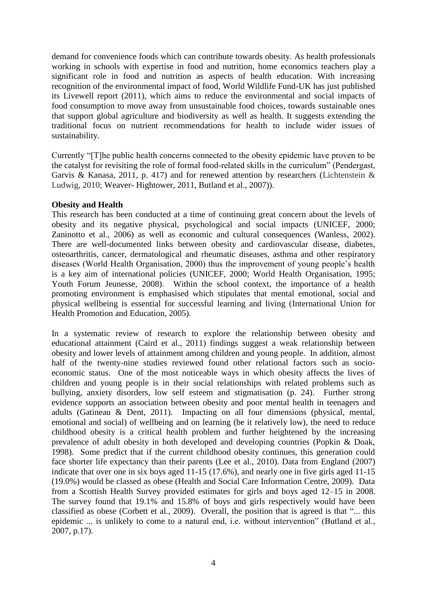demand for convenience foods which can contribute towards obesity. As health professionals working in schools with expertise in food and nutrition, home economics teachers play a significant role in food and nutrition as aspects of health education. With increasing recognition of the environmental impact of food, World Wildlife Fund-UK has just published its Livewell report (2011), which aims to reduce the environmental and social impacts of food consumption to move away from unsustainable food choices, towards sustainable ones that support global agriculture and biodiversity as well as health. It suggests extending the traditional focus on nutrient recommendations for health to include wider issues of sustainability.

Currently "[T]he public health concerns connected to the obesity epidemic have proven to be the catalyst for revisiting the role of formal food-related skills in the curriculum" (Pendergast, Garvis & Kanasa, 2011, p. 417) and for renewed attention by researchers (Lichtenstein  $\&$ Ludwig, 2010; Weaver- Hightower, 2011, Butland et al., 2007)).

### **Obesity and Health**

This research has been conducted at a time of continuing great concern about the levels of obesity and its negative physical, psychological and social impacts (UNICEF, 2000; Zaninotto et al., 2006) as well as economic and cultural consequences (Wanless, 2002). There are well-documented links between obesity and cardiovascular disease, diabetes, osteoarthritis, cancer, dermatological and rheumatic diseases, asthma and other respiratory diseases (World Health Organisation, 2000) thus the improvement of young people's health is a key aim of international policies (UNICEF, 2000; World Health Organisation, 1995; Youth Forum Jeunesse, 2008). Within the school context, the importance of a health promoting environment is emphasised which stipulates that mental emotional, social and physical wellbeing is essential for successful learning and living (International Union for Health Promotion and Education, 2005).

In a systematic review of research to explore the relationship between obesity and educational attainment (Caird et al., 2011) findings suggest a weak relationship between obesity and lower levels of attainment among children and young people. In addition, almost half of the twenty-nine studies reviewed found other relational factors such as socioeconomic status. One of the most noticeable ways in which obesity affects the lives of children and young people is in their social relationships with related problems such as bullying, anxiety disorders, low self esteem and stigmatisation (p. 24). Further strong evidence supports an association between obesity and poor mental health in teenagers and adults (Gatineau & Dent, 2011). Impacting on all four dimensions (physical, mental, emotional and social) of wellbeing and on learning (be it relatively low), the need to reduce childhood obesity is a critical health problem and further heightened by the increasing prevalence of adult obesity in both developed and developing countries (Popkin & Doak, 1998). Some predict that if the current childhood obesity continues, this generation could face shorter life expectancy than their parents (Lee et al., 2010). Data from England (2007) indicate that over one in six boys aged 11-15 (17.6%), and nearly one in five girls aged 11-15 (19.0%) would be classed as obese (Health and Social Care Information Centre, 2009). Data from a Scottish Health Survey provided estimates for girls and boys aged 12–15 in 2008. The survey found that 19.1% and 15.8% of boys and girls respectively would have been classified as obese (Corbett et al., 2009). Overall, the position that is agreed is that "... this epidemic ... is unlikely to come to a natural end, i.e. without intervention" (Butland et al., 2007, p.17).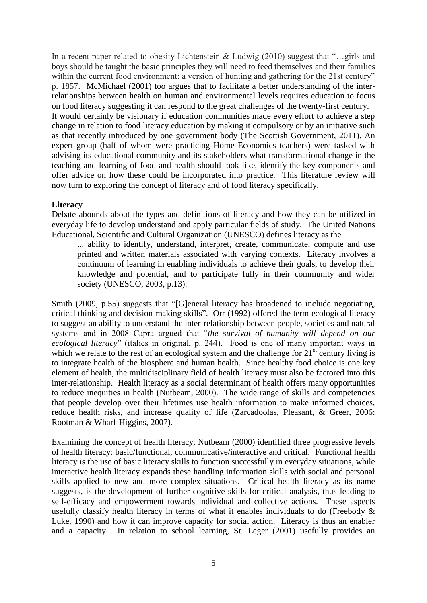In a recent paper related to obesity Lichtenstein & Ludwig (2010) suggest that "…girls and boys should be taught the basic principles they will need to feed themselves and their families within the current food environment: a version of hunting and gathering for the 21st century" p. 1857. McMichael (2001) too argues that to facilitate a better understanding of the interrelationships between health on human and environmental levels requires education to focus on food literacy suggesting it can respond to the great challenges of the twenty-first century. It would certainly be visionary if education communities made every effort to achieve a step change in relation to food literacy education by making it compulsory or by an initiative such as that recently introduced by one government body (The Scottish Government, 2011). An expert group (half of whom were practicing Home Economics teachers) were tasked with advising its educational community and its stakeholders what transformational change in the teaching and learning of food and health should look like, identify the key components and offer advice on how these could be incorporated into practice. This literature review will now turn to exploring the concept of literacy and of food literacy specifically.

### **Literacy**

Debate abounds about the types and definitions of literacy and how they can be utilized in everyday life to develop understand and apply particular fields of study. The United Nations Educational, Scientific and Cultural Organization (UNESCO) defines literacy as the

... ability to identify, understand, interpret, create, communicate, compute and use printed and written materials associated with varying contexts. Literacy involves a continuum of learning in enabling individuals to achieve their goals, to develop their knowledge and potential, and to participate fully in their community and wider society (UNESCO, 2003, p.13).

Smith (2009, p.55) suggests that "[G]eneral literacy has broadened to include negotiating, critical thinking and decision-making skills". Orr (1992) offered the term ecological literacy to suggest an ability to understand the inter-relationship between people, societies and natural systems and in 2008 Capra argued that "*the survival of humanity will depend on our ecological literacy*" (italics in original, p. 244). Food is one of many important ways in which we relate to the rest of an ecological system and the challenge for  $21<sup>st</sup>$  century living is to integrate health of the biosphere and human health. Since healthy food choice is one key element of health, the multidisciplinary field of health literacy must also be factored into this inter-relationship. Health literacy as a social determinant of health offers many opportunities to reduce inequities in health (Nutbeam, 2000). The wide range of skills and competencies that people develop over their lifetimes use health information to make informed choices, reduce health risks, and increase quality of life (Zarcadoolas, Pleasant, & Greer, 2006: Rootman & Wharf-Higgins, 2007).

Examining the concept of health literacy, Nutbeam (2000) identified three progressive levels of health literacy: basic/functional, communicative/interactive and critical. Functional health literacy is the use of basic literacy skills to function successfully in everyday situations, while interactive health literacy expands these handling information skills with social and personal skills applied to new and more complex situations. Critical health literacy as its name suggests, is the development of further cognitive skills for critical analysis, thus leading to self-efficacy and empowerment towards individual and collective actions. These aspects usefully classify health literacy in terms of what it enables individuals to do (Freebody & Luke, 1990) and how it can improve capacity for social action. Literacy is thus an enabler and a capacity. In relation to school learning, St. Leger (2001) usefully provides an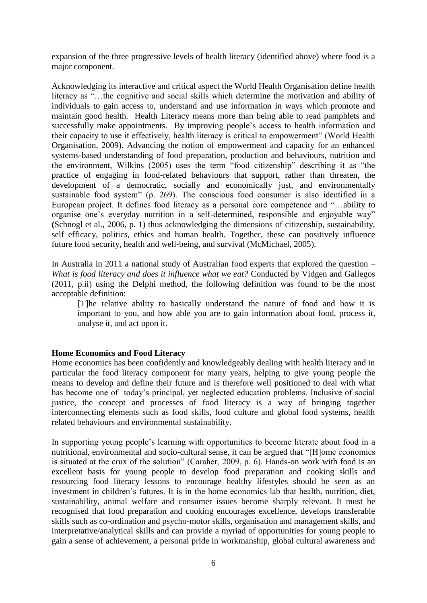expansion of the three progressive levels of health literacy (identified above) where food is a major component.

Acknowledging its interactive and critical aspect the World Health Organisation define health literacy as "…the cognitive and social skills which determine the motivation and ability of individuals to gain access to, understand and use information in ways which promote and maintain good health. Health Literacy means more than being able to read pamphlets and successfully make appointments. By improving people's access to health information and their capacity to use it effectively, health literacy is critical to empowerment" (World Health Organisation, 2009). Advancing the notion of empowerment and capacity for an enhanced systems-based understanding of food preparation, production and behaviours, nutrition and the environment, Wilkins (2005) uses the term "food citizenship" describing it as "the practice of engaging in food-related behaviours that support, rather than threaten, the development of a democratic, socially and economically just, and environmentally sustainable food system" (p. 269). The conscious food consumer is also identified in a European project. It defines food literacy as a personal core competence and "…ability to organise one's everyday nutrition in a self-determined, responsible and enjoyable way" **(**Schnogl et al., 2006, p. 1) thus acknowledging the dimensions of citizenship, sustainability, self efficacy, politics, ethics and human health. Together, these can positively influence future food security, health and well-being, and survival (McMichael, 2005).

In Australia in 2011 a national study of Australian food experts that explored the question – *What is food literacy and does it influence what we eat?* Conducted by Vidgen and Gallegos (2011, p.ii) using the Delphi method, the following definition was found to be the most acceptable definition:

[T]he relative ability to basically understand the nature of food and how it is important to you, and how able you are to gain information about food, process it, analyse it, and act upon it.

#### **Home Economics and Food Literacy**

Home economics has been confidently and knowledgeably dealing with health literacy and in particular the food literacy component for many years, helping to give young people the means to develop and define their future and is therefore well positioned to deal with what has become one of today's principal, yet neglected education problems. Inclusive of social justice, the concept and processes of food literacy is a way of bringing together interconnecting elements such as food skills, food culture and global food systems, health related behaviours and environmental sustainability.

In supporting young people's learning with opportunities to become literate about food in a nutritional, environmental and socio-cultural sense, it can be argued that "[H]ome economics is situated at the crux of the solution" (Caraher, 2009, p. 6). Hands-on work with food is an excellent basis for young people to develop food preparation and cooking skills and resourcing food literacy lessons to encourage healthy lifestyles should be seen as an investment in children's futures. It is in the home economics lab that health, nutrition, diet, sustainability, animal welfare and consumer issues become sharply relevant. It must be recognised that food preparation and cooking encourages excellence, develops transferable skills such as co-ordination and psycho-motor skills, organisation and management skills, and interpretative/analytical skills and can provide a myriad of opportunities for young people to gain a sense of achievement, a personal pride in workmanship, global cultural awareness and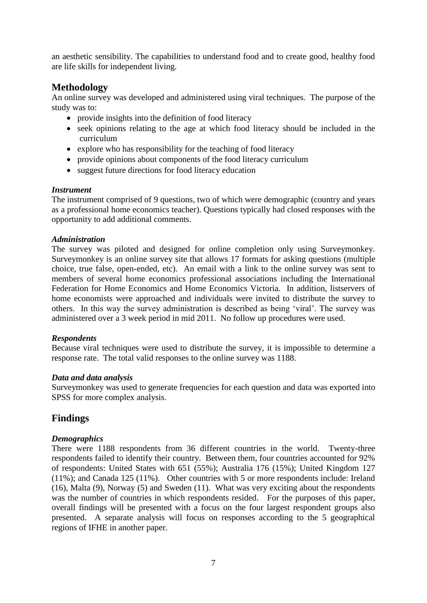an aesthetic sensibility. The capabilities to understand food and to create good, healthy food are life skills for independent living.

## **Methodology**

An online survey was developed and administered using viral techniques. The purpose of the study was to:

- provide insights into the definition of food literacy
- seek opinions relating to the age at which food literacy should be included in the curriculum
- explore who has responsibility for the teaching of food literacy
- provide opinions about components of the food literacy curriculum
- suggest future directions for food literacy education

### *Instrument*

The instrument comprised of 9 questions, two of which were demographic (country and years as a professional home economics teacher). Questions typically had closed responses with the opportunity to add additional comments.

## *Administration*

The survey was piloted and designed for online completion only using Surveymonkey. Surveymonkey is an online survey site that allows 17 formats for asking questions (multiple choice, true false, open-ended, etc). An email with a link to the online survey was sent to members of several home economics professional associations including the International Federation for Home Economics and Home Economics Victoria. In addition, listservers of home economists were approached and individuals were invited to distribute the survey to others. In this way the survey administration is described as being 'viral'. The survey was administered over a 3 week period in mid 2011. No follow up procedures were used.

## *Respondents*

Because viral techniques were used to distribute the survey, it is impossible to determine a response rate. The total valid responses to the online survey was 1188.

#### *Data and data analysis*

Surveymonkey was used to generate frequencies for each question and data was exported into SPSS for more complex analysis.

# **Findings**

## *Demographics*

There were 1188 respondents from 36 different countries in the world. Twenty-three respondents failed to identify their country. Between them, four countries accounted for 92% of respondents: United States with 651 (55%); Australia 176 (15%); United Kingdom 127 (11%); and Canada 125 (11%). Other countries with 5 or more respondents include: Ireland (16), Malta (9), Norway (5) and Sweden (11). What was very exciting about the respondents was the number of countries in which respondents resided. For the purposes of this paper, overall findings will be presented with a focus on the four largest respondent groups also presented. A separate analysis will focus on responses according to the 5 geographical regions of IFHE in another paper.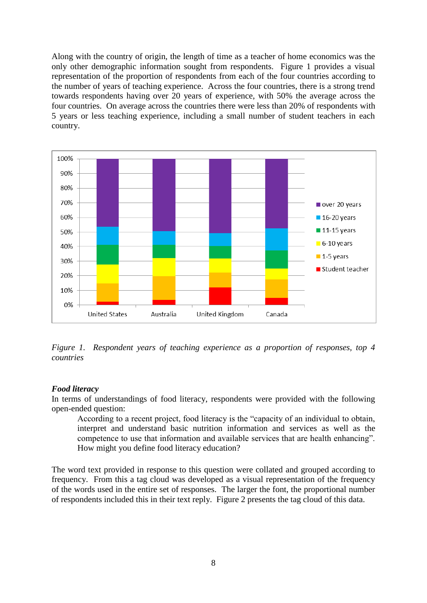Along with the country of origin, the length of time as a teacher of home economics was the only other demographic information sought from respondents. Figure 1 provides a visual representation of the proportion of respondents from each of the four countries according to the number of years of teaching experience. Across the four countries, there is a strong trend towards respondents having over 20 years of experience, with 50% the average across the four countries. On average across the countries there were less than 20% of respondents with 5 years or less teaching experience, including a small number of student teachers in each country.



*Figure 1. Respondent years of teaching experience as a proportion of responses, top 4 countries*

#### *Food literacy*

In terms of understandings of food literacy, respondents were provided with the following open-ended question:

According to a recent project, food literacy is the "capacity of an individual to obtain, interpret and understand basic nutrition information and services as well as the competence to use that information and available services that are health enhancing". How might you define food literacy education?

The word text provided in response to this question were collated and grouped according to frequency. From this a tag cloud was developed as a visual representation of the frequency of the words used in the entire set of responses. The larger the font, the proportional number of respondents included this in their text reply. Figure 2 presents the tag cloud of this data.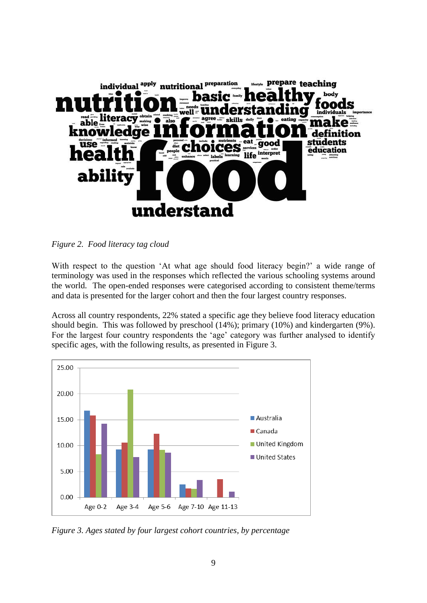

*Figure 2. Food literacy tag cloud*

With respect to the question 'At what age should food literacy begin?' a wide range of terminology was used in the responses which reflected the various schooling systems around the world. The open-ended responses were categorised according to consistent theme/terms and data is presented for the larger cohort and then the four largest country responses.

Across all country respondents, 22% stated a specific age they believe food literacy education should begin. This was followed by preschool (14%); primary (10%) and kindergarten (9%). For the largest four country respondents the 'age' category was further analysed to identify specific ages, with the following results, as presented in Figure 3.



*Figure 3. Ages stated by four largest cohort countries, by percentage*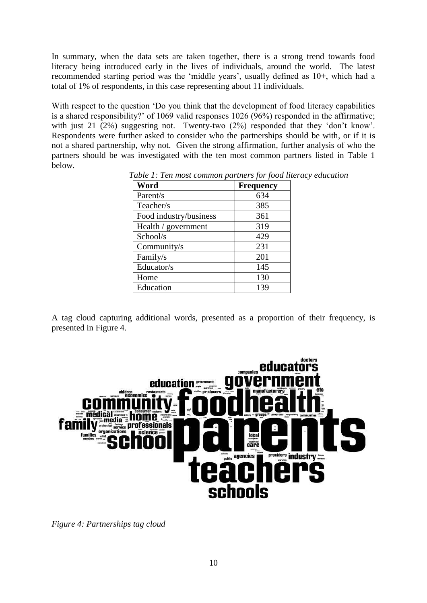In summary, when the data sets are taken together, there is a strong trend towards food literacy being introduced early in the lives of individuals, around the world. The latest recommended starting period was the 'middle years', usually defined as 10+, which had a total of 1% of respondents, in this case representing about 11 individuals.

With respect to the question 'Do you think that the development of food literacy capabilities is a shared responsibility?' of 1069 valid responses 1026 (96%) responded in the affirmative; with just 21 (2%) suggesting not. Twenty-two (2%) responded that they 'don't know'. Respondents were further asked to consider who the partnerships should be with, or if it is not a shared partnership, why not. Given the strong affirmation, further analysis of who the partners should be was investigated with the ten most common partners listed in Table 1 below.

| Word                   | <b>Frequency</b> |
|------------------------|------------------|
| Parent/s               | 634              |
| Teacher/s              | 385              |
| Food industry/business | 361              |
| Health / government    | 319              |
| School/s               | 429              |
| Community/s            | 231              |
| Family/s               | 201              |
| Educator/s             | 145              |
| Home                   | 130              |
| Education              | 139              |

*Table 1: Ten most common partners for food literacy education*

A tag cloud capturing additional words, presented as a proportion of their frequency, is presented in Figure 4.



*Figure 4: Partnerships tag cloud*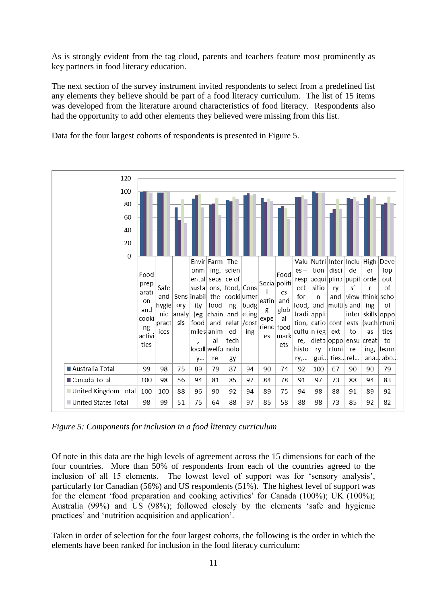As is strongly evident from the tag cloud, parents and teachers feature most prominently as key partners in food literacy education.

The next section of the survey instrument invited respondents to select from a predefined list any elements they believe should be part of a food literacy curriculum. The list of 15 items was developed from the literature around characteristics of food literacy. Respondents also had the opportunity to add other elements they believed were missing from this list.

120 100 80 60  $40$ 20  $\overline{0}$ Envir Farm The Valu Nutri Inter Inclu High Deve  $_{\text{nnm}}$ ing, scien tion disci de lop  $es$ er Ennd Ennd ental seas ce of resp acqui plina pupil orde out Socia politi prep Safe susta ons. food. Cons ect sitio  $s'$  $\Omega$ ry r arati  $\overline{\phantom{a}}$  $\mathsf{CS}$ and Sens |inabil cookiumer for view think scho the  $\mathsf{n}$ and on eatin and multi s and hygie ory ity food ng budg food. and ing ol and glob g analy eting tradi inter skills nic. (eg chain and appli oppo cooki expe al and sis (such pract food relat /cost tion,  $catio$ cont ests rtuni rienc food ng ices miles anim ed ing cultu n (eg ext to **as** ties activi mark es tech dieta oppo al re, ensu creat  $t_0$ ties ets  $local$ welfa nolo histo ry rtuni re ing, learn gui... y... re ties... rel... ana. abo. gy ry,... Australia Total 79 75 87 99 98 89 94 90 74 92 100 67 90 90 79 ■ Canada Total 100 98 56 94 81 85 97 84 78 91 97 73 88 94 83 United Kingdom Total 100 100 88 96 90 92 94 89 75 94 98 88 91 89 92 United States Total 98 99 51 75 64 88 97 85 58 88 98 73 85 92 82

Data for the four largest cohorts of respondents is presented in Figure 5.

*Figure 5: Components for inclusion in a food literacy curriculum*

Of note in this data are the high levels of agreement across the 15 dimensions for each of the four countries. More than 50% of respondents from each of the countries agreed to the inclusion of all 15 elements. The lowest level of support was for 'sensory analysis', particularly for Canadian (56%) and US respondents (51%). The highest level of support was for the element 'food preparation and cooking activities' for Canada (100%); UK (100%); Australia (99%) and US (98%); followed closely by the elements 'safe and hygienic practices' and 'nutrition acquisition and application'.

Taken in order of selection for the four largest cohorts, the following is the order in which the elements have been ranked for inclusion in the food literacy curriculum: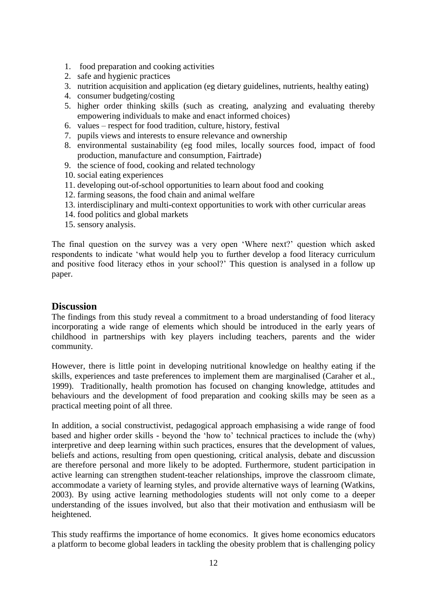- 1. food preparation and cooking activities
- 2. safe and hygienic practices
- 3. nutrition acquisition and application (eg dietary guidelines, nutrients, healthy eating)
- 4. consumer budgeting/costing
- 5. higher order thinking skills (such as creating, analyzing and evaluating thereby empowering individuals to make and enact informed choices)
- 6. values respect for food tradition, culture, history, festival
- 7. pupils views and interests to ensure relevance and ownership
- 8. environmental sustainability (eg food miles, locally sources food, impact of food production, manufacture and consumption, Fairtrade)
- 9. the science of food, cooking and related technology
- 10. social eating experiences
- 11. developing out-of-school opportunities to learn about food and cooking
- 12. farming seasons, the food chain and animal welfare
- 13. interdisciplinary and multi-context opportunities to work with other curricular areas
- 14. food politics and global markets
- 15. sensory analysis.

The final question on the survey was a very open 'Where next?' question which asked respondents to indicate 'what would help you to further develop a food literacy curriculum and positive food literacy ethos in your school?' This question is analysed in a follow up paper.

## **Discussion**

The findings from this study reveal a commitment to a broad understanding of food literacy incorporating a wide range of elements which should be introduced in the early years of childhood in partnerships with key players including teachers, parents and the wider community.

However, there is little point in developing nutritional knowledge on healthy eating if the skills, experiences and taste preferences to implement them are marginalised (Caraher et al., 1999). Traditionally, health promotion has focused on changing knowledge, attitudes and behaviours and the development of food preparation and cooking skills may be seen as a practical meeting point of all three.

In addition, a social constructivist, pedagogical approach emphasising a wide range of food based and higher order skills - beyond the 'how to' technical practices to include the (why) interpretive and deep learning within such practices, ensures that the development of values, beliefs and actions, resulting from open questioning, critical analysis, debate and discussion are therefore personal and more likely to be adopted. Furthermore, student participation in active learning can strengthen student-teacher relationships, improve the classroom climate, accommodate a variety of learning styles, and provide alternative ways of learning (Watkins, 2003). By using active learning methodologies students will not only come to a deeper understanding of the issues involved, but also that their motivation and enthusiasm will be heightened.

This study reaffirms the importance of home economics. It gives home economics educators a platform to become global leaders in tackling the obesity problem that is challenging policy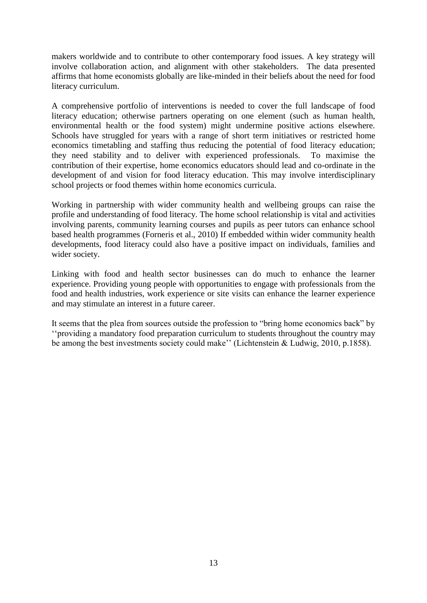makers worldwide and to contribute to other contemporary food issues. A key strategy will involve collaboration action, and alignment with other stakeholders. The data presented affirms that home economists globally are like-minded in their beliefs about the need for food literacy curriculum.

A comprehensive portfolio of interventions is needed to cover the full landscape of food literacy education; otherwise partners operating on one element (such as human health, environmental health or the food system) might undermine positive actions elsewhere. Schools have struggled for years with a range of short term initiatives or restricted home economics timetabling and staffing thus reducing the potential of food literacy education; they need stability and to deliver with experienced professionals. To maximise the contribution of their expertise, home economics educators should lead and co-ordinate in the development of and vision for food literacy education. This may involve interdisciplinary school projects or food themes within home economics curricula.

Working in partnership with wider community health and wellbeing groups can raise the profile and understanding of food literacy. The home school relationship is vital and activities involving parents, community learning courses and pupils as peer tutors can enhance school based health programmes (Forneris et al., 2010) If embedded within wider community health developments, food literacy could also have a positive impact on individuals, families and wider society.

Linking with food and health sector businesses can do much to enhance the learner experience. Providing young people with opportunities to engage with professionals from the food and health industries, work experience or site visits can enhance the learner experience and may stimulate an interest in a future career.

It seems that the plea from sources outside the profession to "bring home economics back" by ''providing a mandatory food preparation curriculum to students throughout the country may be among the best investments society could make'' (Lichtenstein & Ludwig, 2010, p.1858).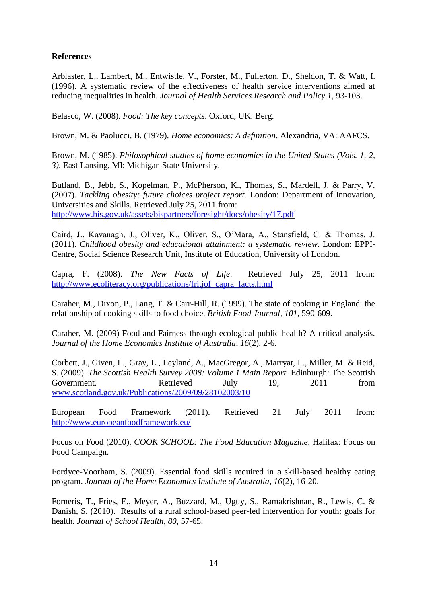### **References**

Arblaster, L., Lambert, M., Entwistle, V., Forster, M., Fullerton, D., Sheldon, T. & Watt, I. (1996). A systematic review of the effectiveness of health service interventions aimed at reducing inequalities in health. *Journal of Health Services Research and Policy 1*, 93-103.

Belasco, W. (2008). *Food: The key concepts*. Oxford, UK: Berg.

Brown, M. & Paolucci, B. (1979). *Home economics: A definition*. Alexandria, VA: AAFCS.

Brown, M. (1985). *Philosophical studies of home economics in the United States (Vols. 1, 2, 3)*. East Lansing, MI: Michigan State University.

Butland, B., Jebb, S., Kopelman, P., McPherson, K., Thomas, S., Mardell, J. & Parry, V. (2007). *Tackling obesity: future choices project report.* London: Department of Innovation, Universities and Skills. Retrieved July 25, 2011 from: <http://www.bis.gov.uk/assets/bispartners/foresight/docs/obesity/17.pdf>

Caird, J., Kavanagh, J., Oliver, K., Oliver, S., O'Mara, A., Stansfield, C. & Thomas, J. (2011). *Childhood obesity and educational attainment: a systematic review*. London: EPPI-Centre, Social Science Research Unit, Institute of Education, University of London.

Capra, F. (2008). *The New Facts of Life*. Retrieved July 25, 2011 from: [http://www.ecoliteracy.org/publications/fritjof\\_capra\\_facts.html](http://www.ecoliteracy.org/publications/fritjof_capra_facts.html)

Caraher, M., Dixon, P., Lang, T. & Carr-Hill, R. (1999). The state of cooking in England: the relationship of cooking skills to food choice. *British Food Journal*, *101*, 590-609.

Caraher, M. (2009) Food and Fairness through ecological public health? A critical analysis. *Journal of the Home Economics Institute of Australia*, *16*(2), 2-6.

Corbett, J., Given, L., Gray, L., Leyland, A., MacGregor, A., Marryat, L., Miller, M. & Reid, S. (2009). *The Scottish Health Survey 2008: Volume 1 Main Report.* Edinburgh: The Scottish Government. Retrieved July 19, 2011 from [www.scotland.gov.uk/Publications/2009/09/28102003/10](http://www.scotland.gov.uk/Publications/2009/09/28102003/10)

European Food Framework (2011). Retrieved 21 July 2011 from: <http://www.europeanfoodframework.eu/>

Focus on Food (2010). *COOK SCHOOL: The Food Education Magazine*. Halifax: Focus on Food Campaign.

Fordyce-Voorham, S. (2009). Essential food skills required in a skill-based healthy eating program. *Journal of the Home Economics Institute of Australia*, *16*(2), 16-20.

Forneris, T., Fries, E., Meyer, A., Buzzard, M., Uguy, S., Ramakrishnan, R., Lewis, C. & Danish, S. (2010). Results of a rural school-based peer-led intervention for youth: goals for health. *Journal of School Health*, *80*, 57-65.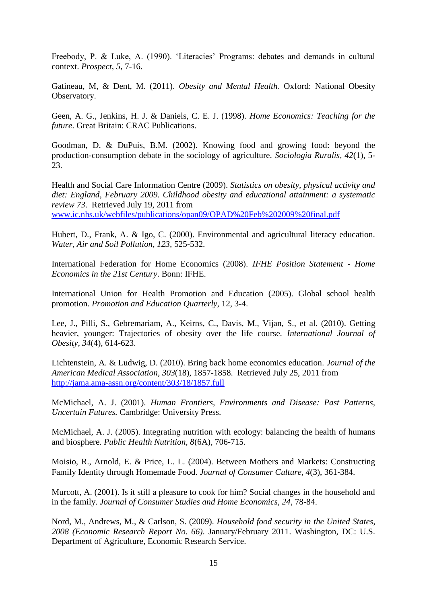Freebody, P. & Luke, A. (1990). 'Literacies' Programs: debates and demands in cultural context. *Prospect*, *5*, 7-16.

Gatineau, M, & Dent, M. (2011). *Obesity and Mental Health*. Oxford: National Obesity Observatory.

Geen, A. G., Jenkins, H. J. & Daniels, C. E. J. (1998). *Home Economics: Teaching for the future*. Great Britain: CRAC Publications.

Goodman, D. & DuPuis, B.M. (2002). Knowing food and growing food: beyond the production-consumption debate in the sociology of agriculture. *Sociologia Ruralis, 42*(1), 5- 23.

Health and Social Care Information Centre (2009). *Statistics on obesity, physical activity and diet: England, February 2009. Childhood obesity and educational attainment: a systematic review 73*. Retrieved July 19, 2011 from [www.ic.nhs.uk/webfiles/publications/opan09/OPAD%20Feb%202009%20final.pdf](http://www.ic.nhs.uk/webfiles/publications/opan09/OPAD%20Feb%202009%20final.pdf) 

Hubert, D., Frank, A. & Igo, C. (2000). Environmental and agricultural literacy education. *Water, Air and Soil Pollution, 123,* 525-532.

International Federation for Home Economics (2008). *IFHE Position Statement - Home Economics in the 21st Century*. Bonn: IFHE.

International Union for Health Promotion and Education (2005). Global school health promotion. *Promotion and Education Quarterly*, 12, 3-4.

Lee, J., Pilli, S., Gebremariam, A., Keirns, C., Davis, M., Vijan, S., et al. (2010). Getting heavier, younger: Trajectories of obesity over the life course. *International Journal of Obesity, 34*(4)*,* 614-623.

Lichtenstein, A. & Ludwig, D. (2010). Bring back home economics education. *Journal of the American Medical Association, 303*(18), 1857-1858. Retrieved July 25, 2011 from <http://jama.ama-assn.org/content/303/18/1857.full>

McMichael, A. J. (2001). *Human Frontiers, Environments and Disease: Past Patterns, Uncertain Futures.* Cambridge: University Press.

McMichael, A. J. (2005). Integrating nutrition with ecology: balancing the health of humans and biosphere. *Public Health Nutrition, 8*(6A)*,* 706-715.

Moisio, R., Arnold, E. & Price, L. L. (2004). Between Mothers and Markets: Constructing Family Identity through Homemade Food. *Journal of Consumer Culture, 4*(3), 361‐384.

Murcott, A. (2001). Is it still a pleasure to cook for him? Social changes in the household and in the family. *Journal of Consumer Studies and Home Economics, 24*, 78-84.

Nord, M., Andrews, M., & Carlson, S. (2009). *Household food security in the United States, 2008 (Economic Research Report No. 66)*. January/February 2011. Washington, DC: U.S. Department of Agriculture, Economic Research Service.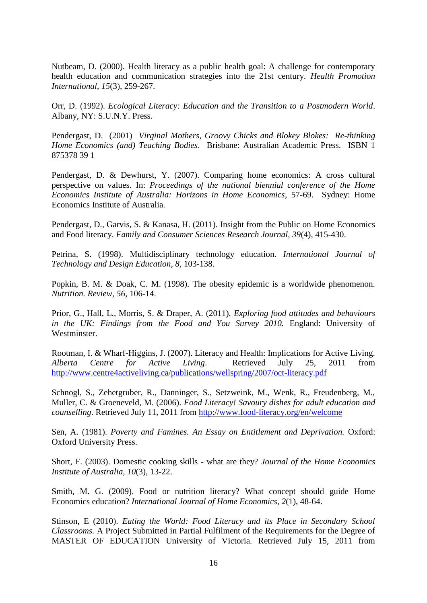Nutbeam, D. (2000). Health literacy as a public health goal: A challenge for contemporary health education and communication strategies into the 21st century. *Health Promotion International*, *15*(3), 259-267.

Orr, D. (1992). *Ecological Literacy: Education and the Transition to a Postmodern World*. Albany, NY: S.U.N.Y. Press.

Pendergast, D. (2001) *Virginal Mothers, Groovy Chicks and Blokey Blokes: Re-thinking Home Economics (and) Teaching Bodies*. Brisbane: Australian Academic Press. ISBN 1 875378 39 1

Pendergast, D. & Dewhurst, Y. (2007). Comparing home economics: A cross cultural perspective on values. In: *Proceedings of the national biennial conference of the Home Economics Institute of Australia: Horizons in Home Economics*, 57-69. Sydney: Home Economics Institute of Australia.

Pendergast, D., Garvis, S. & Kanasa, H. (2011). Insight from the Public on Home Economics and Food literacy. *Family and Consumer Sciences Research Journal, 39*(4), 415-430.

Petrina, S. (1998). Multidisciplinary technology education. *International Journal of Technology and Design Education, 8*, 103-138.

Popkin, B. M. & Doak, C. M. (1998). The obesity epidemic is a worldwide phenomenon. *Nutrition. Review, 56*, 106-14.

Prior, G., Hall, L., Morris, S. & Draper, A. (2011). *Exploring food attitudes and behaviours*  in the UK: Findings from the Food and You Survey 2010. England: University of Westminster.

Rootman, I. & Wharf-Higgins, J. (2007). Literacy and Health: Implications for Active Living. *Alberta Centre for Active Living*. Retrieved July 25, 2011 from <http://www.centre4activeliving.ca/publications/wellspring/2007/oct-literacy.pdf>

Schnogl, S., Zehetgruber, R., Danninger, S., Setzweink, M., Wenk, R., Freudenberg, M., Muller, C. & Groeneveld, M. (2006). *Food Literacy! Savoury dishes for adult education and counselling*. Retrieved July 11, 2011 from<http://www.food-literacy.org/en/welcome>

Sen, A. (1981). *Poverty and Famines. An Essay on Entitlement and Deprivation.* Oxford: Oxford University Press.

Short, F. (2003). Domestic cooking skills - what are they? *Journal of the Home Economics Institute of Australia, 10*(3), 13-22.

Smith, M. G. (2009). Food or nutrition literacy? What concept should guide Home Economics education? *International Journal of Home Economics, 2*(1), 48-64.

Stinson, E (2010). *Eating the World: Food Literacy and its Place in Secondary School Classrooms.* A Project Submitted in Partial Fulfilment of the Requirements for the Degree of MASTER OF EDUCATION University of Victoria. Retrieved July 15, 2011 from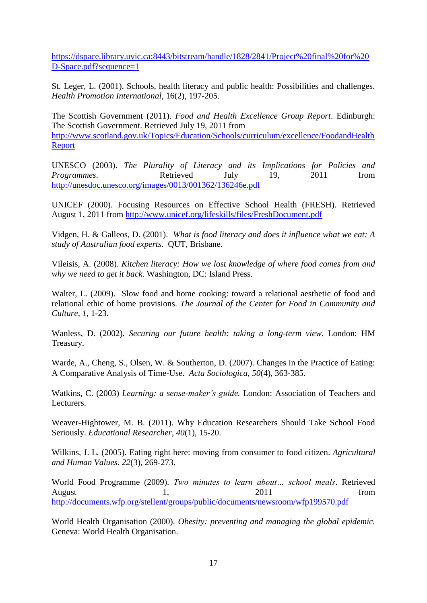[https://dspace.library.uvic.ca:8443/bitstream/handle/1828/2841/Project%20final%20for%20](https://dspace.library.uvic.ca:8443/bitstream/handle/1828/2841/Project%20final%20for%20D-Space.pdf?sequence=1) [D-Space.pdf?sequence=1](https://dspace.library.uvic.ca:8443/bitstream/handle/1828/2841/Project%20final%20for%20D-Space.pdf?sequence=1)

St. Leger, L. (2001). Schools, health literacy and public health: Possibilities and challenges. *Health Promotion International*, 16(2), 197-205.

The Scottish Government (2011). *Food and Health Excellence Group Report*. Edinburgh: The Scottish Government. Retrieved July 19, 2011 from [http://www.scotland.gov.uk/Topics/Education/Schools/curriculum/excellence/FoodandHealth](http://www.scotland.gov.uk/Topics/Education/Schools/curriculum/excellence/FoodandHealthReport) [Report](http://www.scotland.gov.uk/Topics/Education/Schools/curriculum/excellence/FoodandHealthReport)

UNESCO (2003). *The Plurality of Literacy and its Implications for Policies and Programmes.* Retrieved July 19, 2011 from <http://unesdoc.unesco.org/images/0013/001362/136246e.pdf>

UNICEF (2000). Focusing Resources on Effective School Health (FRESH). Retrieved August 1, 2011 from<http://www.unicef.org/lifeskills/files/FreshDocument.pdf>

Vidgen, H. & Galleos, D. (2001). *What is food literacy and does it influence what we eat: A study of Australian food experts*. QUT, Brisbane.

Vileisis, A. (2008). *Kitchen literacy: How we lost knowledge of where food comes from and why we need to get it back*. Washington, DC: Island Press.

Walter, L. (2009). Slow food and home cooking: toward a relational aesthetic of food and relational ethic of home provisions. *The Journal of the Center for Food in Community and Culture, 1,* 1-23.

Wanless, D. (2002). *Securing our future health: taking a long-term view*. London: HM Treasury.

Warde, A., Cheng, S., Olsen, W. & Southerton, D. (2007). Changes in the Practice of Eating: A Comparative Analysis of Time‐Use. *Acta Sociologica*, *50*(4), 363‐385.

Watkins, C. (2003) *Learning: a sense-maker's guide.* London: Association of Teachers and Lecturers.

Weaver-Hightower, M. B. (2011). Why Education Researchers Should Take School Food Seriously. *Educational Researcher*, *40*(1), 15-20.

Wilkins, J. L. (2005). Eating right here: moving from consumer to food citizen. *Agricultural and Human Values. 22*(3), 269-273.

World Food Programme (2009). *Two minutes to learn about… school meals*. Retrieved August 1, 2011 from <http://documents.wfp.org/stellent/groups/public/documents/newsroom/wfp199570.pdf>

World Health Organisation (2000). *Obesity: preventing and managing the global epidemic.*  Geneva: World Health Organisation.